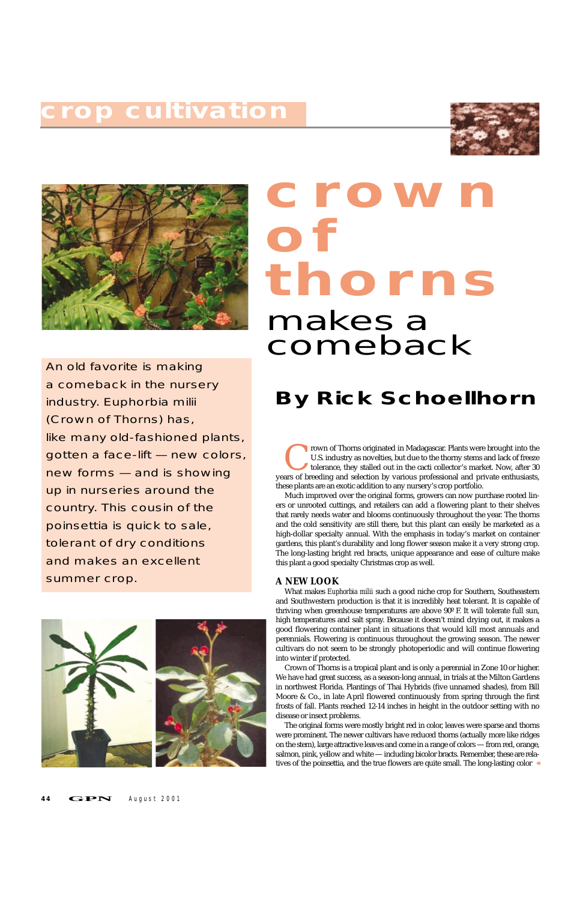rown of Thorns originated in Madagascar. Plants were brought into the U.S. industry as novelties, but due to the thorny stems and lack of freeze tolerance, they stalled out in the cacti collector's market. Now, after 30 ar U.S. industry as novelties, but due to the thorny stems and lack of freeze tolerance, they stalled out in the cacti collector's market. Now, after 30 years of breeding and selection by various professional and private enthusiasts, these plants are an exotic addition to any nursery's crop portfolio.

What makes *Euphorbia milii* such a good niche crop for Southern, Southeastern and Southwestern production is that it is incredibly heat tolerant. It is capable of thriving when greenhouse temperatures are above 90º F. It will tolerate full sun, high temperatures and salt spray. Because it doesn't mind drying out, it makes a good flowering container plant in situations that would kill most annuals and perennials. Flowering is continuous throughout the growing season. The newer cultivars do not seem to be strongly photoperiodic and will continue flowering into winter if protected. Crown of Thorns is a tropical plant and is only a perennial in Zone 10 or higher. We have had great success, as a season-long annual, in trials at the Milton Gardens in northwest Florida. Plantings of Thai Hybrids (five unnamed shades), from Bill Moore & Co., in late April flowered continuously from spring through the first frosts of fall. Plants reached 12-14 inches in height in the outdoor setting with no disease or insect problems. The original forms were mostly bright red in color, leaves were sparse and thorns were prominent. The newer cultivars have reduced thorns (actually more like ridges on the stem), large attractive leaves and come in a range of colors — from red, orange, salmon, pink, yellow and white — including bicolor bracts. Remember, these are relatives of the poinsettia, and the true flowers are quite small. The long-lasting color ♦

Much improved over the original forms, growers can now purchase rooted liners or unrooted cuttings, and retailers can add a flowering plant to their shelves that rarely needs water and blooms continuously throughout the year. The thorns and the cold sensitivity are still there, but this plant can easily be marketed as a high-dollar specialty annual. With the emphasis in today's market on container gardens, this plant's durability and long flower season make it a very strong crop. The long-lasting bright red bracts, unique appearance and ease of culture make this plant a good specialty Christmas crop as well.

#### **A NEW LOOK**

An old favorite is making a comeback in the nursery industry. *Euphorbia milii* (Crown of Thorns) has, like many old-fashioned plants, gotten a face-lift — new colors, new forms — and is showing up in nurseries around the country. This cousin of the poinsettia is quick to sale, tolerant of dry conditions and makes an excellent summer crop.



#### **4 4 GPN** August 2001

## **crop cultivation**





# **crown of thorns**

### **By Rick Schoellhorn**

# makes a comeback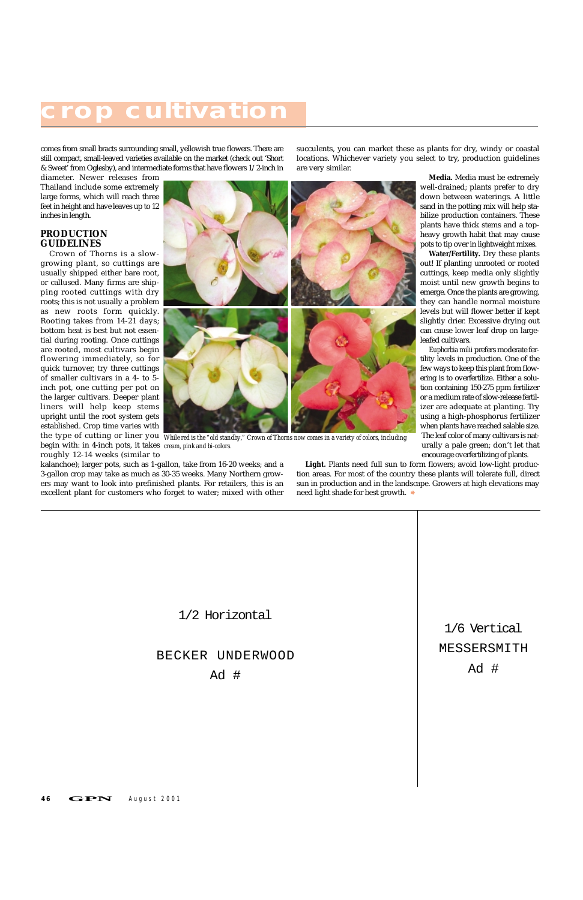comes from small bracts surrounding small, yellowish true flowers. There are still compact, small-leaved varieties available on the market (check out 'Short & Sweet' from Oglesby), and intermediate forms that have flowers 1/2-inch in

diameter. Newer releases from Thailand include some extremely large forms, which will reach three feet in height and have leaves up to 12 inches in length.

#### **PRODUCTION GUIDELINES**

Crown of Thorns is a slowgrowing plant, so cuttings are usually shipped either bare root, or callused. Many firms are shipping rooted cuttings with dry roots; this is not usually a problem as new roots form quickly. Rooting takes from 14-21 days; bottom heat is best but not essential during rooting. Once cuttings are rooted, most cultivars begin flowering immediately, so for quick turnover, try three cuttings of smaller cultivars in a 4- to 5 inch pot, one cutting per pot on the larger cultivars. Deeper plant liners will help keep stems upright until the root system gets established. Crop time varies with



roughly 12-14 weeks (similar to kalanchoe); larger pots, such as 1-gallon, take from 16-20 weeks; and a 3-gallon crop may take as much as 30-35 weeks. Many Northern growers may want to look into prefinished plants. For retailers, this is an excellent plant for customers who forget to water; mixed with other succulents, you can market these as plants for dry, windy or coastal locations. Whichever variety you select to try, production guidelines

are very similar.

**Media.** Media must be extremely well-drained; plants prefer to dry

down between waterings. A little sand in the potting mix will help sta-

bilize production containers. These plants have thick stems and a topheavy growth habit that may cause pots to tip over in lightweight mixes.

**Water/Fertility.** Dry these plants out! If planting unrooted or rooted cuttings, keep media only slightly moist until new growth begins to emerge. Once the plants are growing, they can handle normal moisture levels but will flower better if kept slightly drier. Excessive drying out can cause lower leaf drop on largeleafed cultivars.

the type of cutting or liner you *While red is the "old standby," Crown of Thorns now comes in a variety of colors, including* begin with: in 4-inch pots, it takes *cream, pink and bi-colors.*

*Euphorbia milii* prefers moderate fertility levels in production. One of the few ways to keep this plant from flowering is to overfertilize. Either a solution containing 150-275 ppm fertilizer or a medium rate of slow-release fertilizer are adequate at planting. Try using a high-phosphorus fertilizer when plants have reached salable size. The leaf color of many cultivars is naturally a pale green; don't let that encourage overfertilizing of plants.

**Light.** Plants need full sun to form flowers; avoid low-light production areas. For most of the country these plants will tolerate full, direct sun in production and in the landscape. Growers at high elevations may need light shade for best growth. ➧

### **crop cultivation**

1/2 Horizontal

BECKER UNDERWOOD

Ad #

#### 46 **GPN** August 2001

1/6 Vertical MESSERSMITH

Ad #